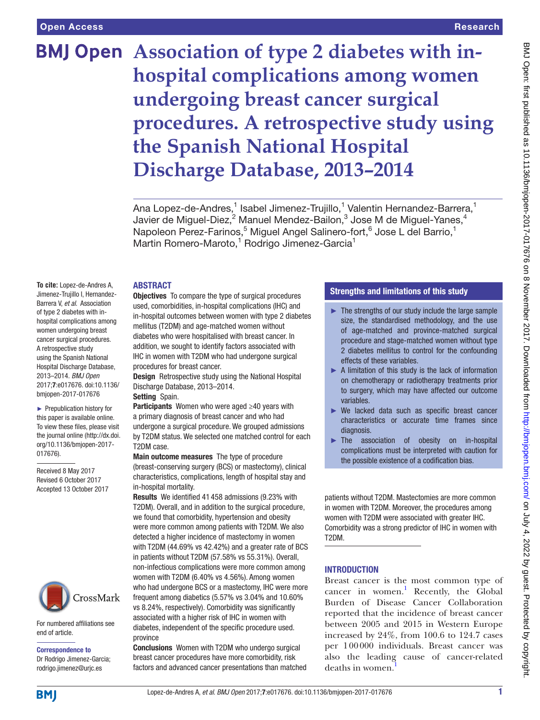# **BMJ Open** Association of type 2 diabetes with in**hospital complications among women undergoing breast cancer surgical procedures. A retrospective study using the Spanish National Hospital Discharge Database, 2013–2014**

Ana Lopez-de-Andres,<sup>1</sup> Isabel Jimenez-Trujillo,<sup>1</sup> Valentin Hernandez-Barrera,<sup>1</sup> Javier de Miguel-Diez, $^2$  Manuel Mendez-Bailon, $^3$  Jose M de Miguel-Yanes, $^4$ Napoleon Perez-Farinos,<sup>5</sup> Miguel Angel Salinero-fort,<sup>6</sup> Jose L del Barrio,<sup>1</sup> Martin Romero-Maroto,<sup>1</sup> Rodrigo Jimenez-Garcia<sup>1</sup>

#### **ABSTRACT**

**To cite:** Lopez-de-Andres A, Jimenez-Trujillo I, Hernandez-Barrera V, *et al*. Association of type 2 diabetes with inhospital complications among women undergoing breast cancer surgical procedures. A retrospective study using the Spanish National Hospital Discharge Database, 2013–2014. *BMJ Open* 2017;7:e017676. doi:10.1136/ bmjopen-2017-017676

► Prepublication history for this paper is available online. To view these files, please visit the journal online [\(http://dx.doi.](http://dx.doi.org/10.1136/bmjopen-2017-017676) [org/10.1136/bmjopen-2017-](http://dx.doi.org/10.1136/bmjopen-2017-017676) [017676\)](http://dx.doi.org/10.1136/bmjopen-2017-017676).

Received 8 May 2017 Revised 6 October 2017 Accepted 13 October 2017



For numbered affiliations see end of article.

Correspondence to Dr Rodrigo Jimenez-Garcia; rodrigo.jimenez@urjc.es

**Objectives** To compare the type of surgical procedures used, comorbidities, in-hospital complications (IHC) and in-hospital outcomes between women with type 2 diabetes mellitus (T2DM) and age-matched women without diabetes who were hospitalised with breast cancer. In addition, we sought to identify factors associated with IHC in women with T2DM who had undergone surgical procedures for breast cancer.

Design Retrospective study using the National Hospital Discharge Database, 2013–2014.

#### Setting Spain.

Participants Women who were aged ≥40 years with a primary diagnosis of breast cancer and who had undergone a surgical procedure. We grouped admissions by T2DM status. We selected one matched control for each T2DM case.

Main outcome measures The type of procedure (breast-conserving surgery (BCS) or mastectomy), clinical characteristics, complications, length of hospital stay and in-hospital mortality.

Results We identified 41 458 admissions (9.23% with T2DM). Overall, and in addition to the surgical procedure, we found that comorbidity, hypertension and obesity were more common among patients with T2DM. We also detected a higher incidence of mastectomy in women with T2DM (44.69% vs 42.42%) and a greater rate of BCS in patients without T2DM (57.58% vs 55.31%). Overall, non-infectious complications were more common among women with T2DM (6.40% vs 4.56%). Among women who had undergone BCS or a mastectomy, IHC were more frequent among diabetics (5.57% vs 3.04% and 10.60% vs 8.24%, respectively). Comorbidity was significantly associated with a higher risk of IHC in women with diabetes, independent of the specific procedure used. province

Conclusions Women with T2DM who undergo surgical breast cancer procedures have more comorbidity, risk factors and advanced cancer presentations than matched

## Strengths and limitations of this study

- ► The strengths of our study include the large sample size, the standardised methodology, and the use of age-matched and province-matched surgical procedure and stage-matched women without type 2 diabetes mellitus to control for the confounding effects of these variables.
- ► A limitation of this study is the lack of information on chemotherapy or radiotherapy treatments prior to surgery, which may have affected our outcome variables.
- ► We lacked data such as specific breast cancer characteristics or accurate time frames since diagnosis.
- ► The association of obesity on in-hospital complications must be interpreted with caution for the possible existence of a codification bias.

patients without T2DM. Mastectomies are more common in women with T2DM. Moreover, the procedures among women with T2DM were associated with greater IHC. Comorbidity was a strong predictor of IHC in women with T2DM.

#### **INTRODUCTION**

Breast cancer is the most common type of cancer in women.<sup>[1](#page-6-0)</sup> Recently, the Global Burden of Disease Cancer Collaboration reported that the incidence of breast cancer between 2005 and 2015 in Western Europe increased by 24%, from 100.6 to 124.7 cases per 100000 individuals. Breast cancer was also the leading cause of cancer-related deaths in women.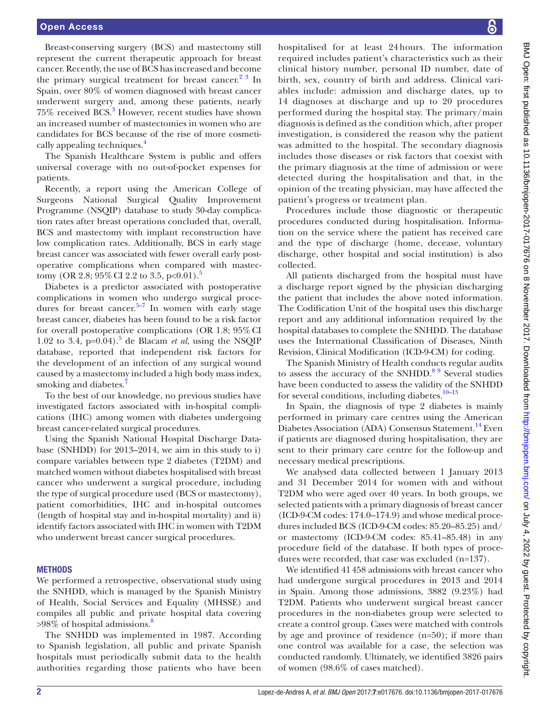Breast-conserving surgery (BCS) and mastectomy still represent the current therapeutic approach for breast cancer. Recently, the use of BCS has increased and become the primary surgical treatment for breast cancer. $2<sup>3</sup>$  In Spain, over 80% of women diagnosed with breast cancer underwent surgery and, among these patients, nearly 75% received BCS.<sup>[3](#page-6-2)</sup> However, recent studies have shown an increased number of mastectomies in women who are candidates for BCS because of the rise of more cosmetically appealing techniques.<sup>4</sup>

The Spanish Healthcare System is public and offers universal coverage with no out-of-pocket expenses for patients.

Recently, a report using the American College of Surgeons National Surgical Quality Improvement Programme (NSQIP) database to study 30-day complication rates after breast operations concluded that, overall, BCS and mastectomy with implant reconstruction have low complication rates. Additionally, BCS in early stage breast cancer was associated with fewer overall early postoperative complications when compared with mastec-tomy (OR 2.8; 9[5](#page-6-4)% CI 2.2 to 3.5, p<0.01).<sup>5</sup>

Diabetes is a predictor associated with postoperative complications in women who undergo surgical procedures for breast cancer.<sup>5–7</sup> In women with early stage breast cancer, diabetes has been found to be a risk factor for overall postoperative complications (OR 1.8; 95%CI 1.02 to 3.4,  $p=0.04$ ).<sup>[5](#page-6-4)</sup> de Blacam *et al*, using the NSQIP database, reported that independent risk factors for the development of an infection of any surgical wound caused by a mastectomy included a high body mass index, smoking and diabetes.<sup>[7](#page-6-5)</sup>

To the best of our knowledge, no previous studies have investigated factors associated with in-hospital complications (IHC) among women with diabetes undergoing breast cancer-related surgical procedures.

Using the Spanish National Hospital Discharge Database (SNHDD) for 2013–2014, we aim in this study to i) compare variables between type 2 diabetes (T2DM) and matched women without diabetes hospitalised with breast cancer who underwent a surgical procedure, including the type of surgical procedure used (BCS or mastectomy), patient comorbidities, IHC and in-hospital outcomes (length of hospital stay and in-hospital mortality) and ii) identify factors associated with IHC in women with T2DM who underwent breast cancer surgical procedures.

#### **METHODS**

We performed a retrospective, observational study using the SNHDD, which is managed by the Spanish Ministry of Health, Social Services and Equality (MHSSE) and compiles all public and private hospital data covering  $>98\%$  of hospital admissions.<sup>8</sup>

The SNHDD was implemented in 1987. According to Spanish legislation, all public and private Spanish hospitals must periodically submit data to the health authorities regarding those patients who have been

hospitalised for at least 24 hours. The information required includes patient's characteristics such as their clinical history number, personal ID number, date of birth, sex, country of birth and address. Clinical variables include: admission and discharge dates, up to 14 diagnoses at discharge and up to 20 procedures performed during the hospital stay. The primary/main diagnosis is defined as the condition which, after proper investigation, is considered the reason why the patient was admitted to the hospital. The secondary diagnosis includes those diseases or risk factors that coexist with the primary diagnosis at the time of admission or were detected during the hospitalisation and that, in the opinion of the treating physician, may have affected the patient's progress or treatment plan.

Procedures include those diagnostic or therapeutic procedures conducted during hospitalisation. Information on the service where the patient has received care and the type of discharge (home, decease, voluntary discharge, other hospital and social institution) is also collected.

All patients discharged from the hospital must have a discharge report signed by the physician discharging the patient that includes the above noted information. The Codification Unit of the hospital uses this discharge report and any additional information required by the hospital databases to complete the SNHDD. The database uses the International Classification of Diseases, Ninth Revision, Clinical Modification (ICD-9-CM) for coding.

The Spanish Ministry of Health conducts regular audits to assess the accuracy of the  $SNHDD<sup>89</sup>$  Several studies have been conducted to assess the validity of the SNHDD for several conditions, including diabetes. $10-13$ 

In Spain, the diagnosis of type 2 diabetes is mainly performed in primary care centres using the American Diabetes Association (ADA) Consensus Statement.<sup>14</sup> Even if patients are diagnosed during hospitalisation, they are sent to their primary care centre for the follow-up and necessary medical prescriptions.

We analysed data collected between 1 January 2013 and 31 December 2014 for women with and without T2DM who were aged over 40 years. In both groups, we selected patients with a primary diagnosis of breast cancer (ICD-9-CM codes: 174.0–174.9) and whose medical procedures included BCS (ICD-9-CM codes: 85.20–85.25) and/ or mastectomy (ICD-9-CM codes: 85.41–85.48) in any procedure field of the database. If both types of procedures were recorded, that case was excluded (n=137).

We identified 41458 admissions with breast cancer who had undergone surgical procedures in 2013 and 2014 in Spain. Among those admissions, 3882 (9.23%) had T2DM. Patients who underwent surgical breast cancer procedures in the non-diabetes group were selected to create a control group. Cases were matched with controls by age and province of residence (n=50); if more than one control was available for a case, the selection was conducted randomly. Ultimately, we identified 3826 pairs of women (98.6% of cases matched).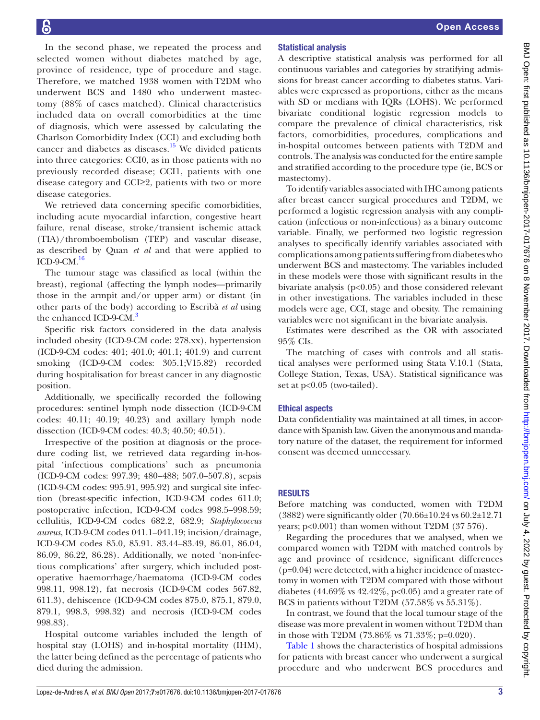In the second phase, we repeated the process and selected women without diabetes matched by age, province of residence, type of procedure and stage. Therefore, we matched 1938 women with T2DM who underwent BCS and 1480 who underwent mastectomy (88% of cases matched). Clinical characteristics included data on overall comorbidities at the time of diagnosis, which were assessed by calculating the Charlson Comorbidity Index (CCI) and excluding both cancer and diabetes as diseases.<sup>[15](#page-7-0)</sup> We divided patients into three categories: CCI0, as in those patients with no previously recorded disease; CCI1, patients with one disease category and CCI≥2, patients with two or more disease categories.

We retrieved data concerning specific comorbidities, including acute myocardial infarction, congestive heart failure, renal disease, stroke/transient ischemic attack (TIA)/thromboembolism (TEP) and vascular disease, as described by Quan *et al* and that were applied to ICD-9-CM. $^{16}$  $^{16}$  $^{16}$ 

The tumour stage was classified as local (within the breast), regional (affecting the lymph nodes—primarily those in the armpit and/or upper arm) or distant (in other parts of the body) according to Escribà *et al* using the enhanced ICD-9-CM.<sup>3</sup>

Specific risk factors considered in the data analysis included obesity (ICD-9-CM code: 278.xx), hypertension (ICD-9-CM codes: 401; 401.0; 401.1; 401.9) and current smoking (ICD-9-CM codes: 305.1;V15.82) recorded during hospitalisation for breast cancer in any diagnostic position.

Additionally, we specifically recorded the following procedures: sentinel lymph node dissection (ICD-9-CM codes: 40.11; 40.19; 40.23) and axillary lymph node dissection (ICD-9-CM codes: 40.3; 40.50; 40.51).

Irrespective of the position at diagnosis or the procedure coding list, we retrieved data regarding in-hospital 'infectious complications' such as pneumonia (ICD-9-CM codes: 997.39; 480–488; 507.0–507.8), sepsis (ICD-9-CM codes: 995.91, 995.92) and surgical site infection (breast-specific infection, ICD-9-CM codes 611.0; postoperative infection, ICD-9-CM codes 998.5–998.59; cellulitis, ICD-9-CM codes 682.2, 682.9; *Staphylococcus aureus*, ICD-9-CM codes 041.1–041.19; incision/drainage, ICD-9-CM codes 85.0, 85.91. 83.44–83.49, 86.01, 86.04, 86.09, 86.22, 86.28). Additionally, we noted 'non-infectious complications' after surgery, which included postoperative haemorrhage/haematoma (ICD-9-CM codes 998.11, 998.12), fat necrosis (ICD-9-CM codes 567.82, 611.3), dehiscence (ICD-9-CM codes 875.0, 875.1, 879.0, 879.1, 998.3, 998.32) and necrosis (ICD-9-CM codes 998.83).

Hospital outcome variables included the length of hospital stay (LOHS) and in-hospital mortality (IHM), the latter being defined as the percentage of patients who died during the admission.

# Statistical analysis

A descriptive statistical analysis was performed for all continuous variables and categories by stratifying admissions for breast cancer according to diabetes status. Variables were expressed as proportions, either as the means with SD or medians with IQRs (LOHS). We performed bivariate conditional logistic regression models to compare the prevalence of clinical characteristics, risk factors, comorbidities, procedures, complications and in-hospital outcomes between patients with T2DM and controls. The analysis was conducted for the entire sample and stratified according to the procedure type (ie, BCS or mastectomy).

To identify variables associated with IHC among patients after breast cancer surgical procedures and T2DM, we performed a logistic regression analysis with any complication (infectious or non-infectious) as a binary outcome variable. Finally, we performed two logistic regression analyses to specifically identify variables associated with complications among patients suffering from diabetes who underwent BCS and mastectomy. The variables included in these models were those with significant results in the bivariate analysis ( $p<0.05$ ) and those considered relevant in other investigations. The variables included in these models were age, CCI, stage and obesity. The remaining variables were not significant in the bivariate analysis.

Estimates were described as the OR with associated 95% CIs.

The matching of cases with controls and all statistical analyses were performed using Stata V.10.1 (Stata, College Station, Texas, USA). Statistical significance was set at  $p<0.05$  (two-tailed).

#### Ethical aspects

Data confidentiality was maintained at all times, in accordance with Spanish law. Given the anonymous and mandatory nature of the dataset, the requirement for informed consent was deemed unnecessary.

## **RESULTS**

Before matching was conducted, women with T2DM (3882) were significantly older (70.66±10.24 vs 60.2±12.71 years; p<0.001) than women without T2DM (37 576).

Regarding the procedures that we analysed, when we compared women with T2DM with matched controls by age and province of residence, significant differences  $(p=0.04)$  were detected, with a higher incidence of mastectomy in women with T2DM compared with those without diabetes (44.69% vs 42.42%, p<0.05) and a greater rate of BCS in patients without T2DM (57.58% vs 55.31%).

In contrast, we found that the local tumour stage of the disease was more prevalent in women without T2DM than in those with T2DM (73.86% vs 71.33%; p=0.020).

[Table](#page-3-0) 1 shows the characteristics of hospital admissions for patients with breast cancer who underwent a surgical procedure and who underwent BCS procedures and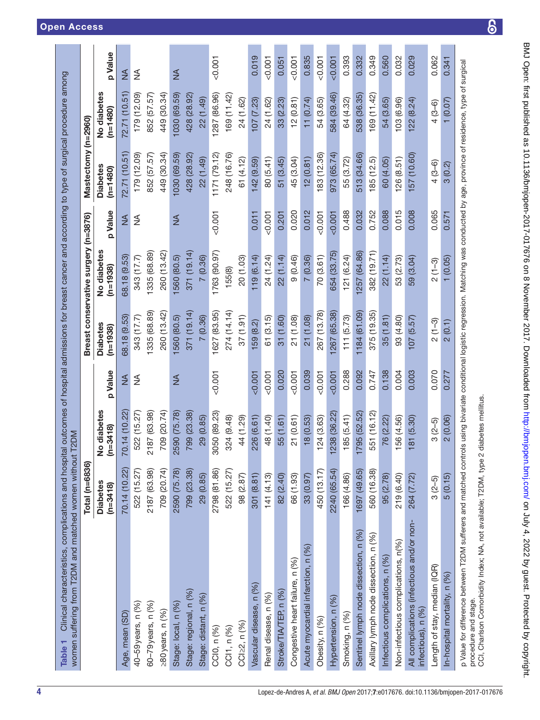<span id="page-3-0"></span>

|                                                                | Total (n=6836)                |                           |               |                               | Breast conservative surgery | $(n=3876)$ | Mastectomy (n=2960)           |                           |            |
|----------------------------------------------------------------|-------------------------------|---------------------------|---------------|-------------------------------|-----------------------------|------------|-------------------------------|---------------------------|------------|
|                                                                | <b>Diabetes</b><br>$(n=3418)$ | No diabetes<br>$(n=3418)$ | p Value       | <b>Diabetes</b><br>$(n=1938)$ | No diabetes<br>$(n=1938)$   | p Value    | <b>Diabetes</b><br>$(n=1480)$ | No diabetes<br>$(n=1480)$ | p Value    |
| Age, mean (SD)                                                 | 70.14 (10.22)                 | 70.14 (10.22)             | ≸             | 68.18 (9.53)                  | 68.18 (9.53)                | ≸          | 72.71 (10.51)                 | 72.71 (10.51)             | ≸          |
| 40-59 years, n (%)                                             | 522 (15.27)                   | 522 (15.27)               | ₹             | 343 (17.7)                    | 343 (17.7)                  | ≸          | 179 (12.09)                   | 179 (12.09)               | $\lessgtr$ |
| 60-79 years, n (%)                                             | 2187 (63.98)                  | 2187 (63.98)              |               | 1335 (68.89)                  | 1335 (68.89)                |            | 852 (57.57)                   | 852 (57.57)               |            |
| $\geq$ 80 years, n $(%)$                                       | 709 (20.74)                   | 709 (20.74)               |               | 260 (13.42)                   | 260 (13.42)                 |            | 449 (30.34)                   | 449 (30.34)               |            |
| Stage: local, n (%)                                            | 2590 (75.78)                  | 2590 (75.78)              | $\frac{4}{2}$ | 1560 (80.5)                   | 1560 (80.5)                 | ≸          | 1030 (69.59)                  | 1030 (69.59)              | ≸          |
| Stage: regional, n (%)                                         | 799 (23.38)                   | 799 (23.38)               |               | 371 (19.14)                   | 371(19.14)                  |            | 428 (28.92)                   | 428 (28.92)               |            |
| Stage: distant, n (%)                                          | 29 (0.85)                     | 29 (0.85)                 |               | 7(0.36)                       | 7(0.36)                     |            | 22 (1.49)                     | 22 (1.49)                 |            |
| CCI0, n (%)                                                    | 2798 (81.86)                  | 50 (89.23)<br>္က          | $-0.001$      | 1627 (83.95)                  | 1763 (90.97)                | 0.001      | 1171 (79.12)                  | 1287 (86.96)              | $-0.001$   |
| CCI1, n (%)                                                    | 522 (15.27)                   | 324 (9.48)                |               | 274 (14.14)                   | 155(8)                      |            | 248 (16.76)                   | 169 (11.42)               |            |
| CCl≥2, n (%)                                                   | 98 (2.87)                     | 44 (1.29)                 |               | (1.91)                        | 20 (1.03)                   |            | 61 (4.12)                     | 24 (1.62)                 |            |
| Vascular disease, n (%)                                        | 301 (8.81)                    | 226 (6.61)                | 50.007        | 159(8.2)                      | 119(6.14)                   | 0.011      | 142 (9.59)                    | 107(7.23)                 | 0.019      |
| Renal disease, n (%)                                           | 141 (4.13)                    | 48 (1.40)                 | 0.001         | 61(3.15)                      | 24 (1.24)                   | $-0.001$   | 80 (5.41)                     | 24 (1.62)                 | 0.001      |
| Stroke/TIA/TEP, n (%)                                          | 82 (2.40)                     | 55 (1.61)                 | 0.020         | 31(1.60)                      | 22 (1.14)                   | 0.201      | 51 (3.45)                     | 33 (2.23)                 | 0.051      |
| Congestive heart failure, n (%)                                | 66 (1.93)                     | 21 (0.61)                 | 0.001         | 21 (1.08)                     | 9(0.46)                     | 0.020      | 45 (3.04)                     | 12(0.81)                  | $-0.001$   |
| Acute myocardial infarction, n (%)                             | 33 (0.97)                     | 18 (0.53)                 | 0.039         | 21 (1.08)                     | 7(0.36)                     | 0.012      | 12(0.81)                      | 11(0.74)                  | 0.835      |
| Obesity, n (%)                                                 | 450 (13.17)                   | 24 (3.63)                 | < 0.001       | 267 (13.78)                   | 70(3.61)                    | < 0.001    | 183 (12.36)                   | 54 (3.65)                 | $-0.001$   |
| Hypertension, n (%)                                            | 2240 (65.54)                  | 1238 (36.22)              | 0.001         | 1267 (65.38)                  | 654 (33.75)                 | 0.001      | 973 (65.74)                   | 584 (39.46)               | 0.007      |
| Smoking, n (%)                                                 | 166 (4.86)                    | 85 (5.41)                 | 0.288         | 111(5.73)                     | 121 (6.24)                  | 0.488      | 55 (3.72)                     | 64 (4.32)                 | 0.393      |
| Sentinel lymph node dissection, n (%)                          | 1697 (49.65)                  | '95 (52.52)<br>17         | 0.092         | 1184 (61.09)                  | 257 (64.86)                 | 0.032      | 513 (34.66)                   | 538 (36.35)               | 0.332      |
| Axillary lymph node dissection, n (%)                          | 560 (16.38)                   | 51 (16.12)<br>ری          | 0.747         | 375 (19.35)                   | 382 (19.71)                 | 0.752      | 185(12.5)                     | 169 (11.42)               | 0.349      |
| Infectious complications, n (%)                                | 95 (2.78)                     | 76 (2.22)                 | 0.138         | 35(1.81)                      | 22 (1.14)                   | 0.088      | 60 (4.05)                     | 54 (3.65)                 | 0.560      |
| Non-infectious complications, n(%)                             | 219 (6.40)                    | 56 (4.56)                 | 0.004         | 93 (4.80)                     | 53 (2.73)                   | 0.015      | 26 (8.51)                     | 103 (6.96)                | 0.032      |
| All complications (infectious and/or non-<br>nfectious), n (%) | 264 (7.72)                    | 81 (5.30)                 | 0.003         | 107(5.57)                     | 59 (3.04)                   | 0.008      | 157 (10.60)                   | 122(8.24)                 | 0.029      |
| Length of stay, median (IQR)                                   | $3(2-5)$                      | $3(2-5)$                  | 0.070         | $2(1-3)$                      | $2(1-3)$                    | 0.065      | $4(3-6)$                      | $4(3-6)$                  | 0.062      |
| In-hospital mortality, n (%)                                   | 5(0.15)                       | 2(0.06)                   | 0.277         | 2(0.1)                        | 1(0.05)                     | 0.571      | 3(0.2)                        | (0.07)                    | 0.341      |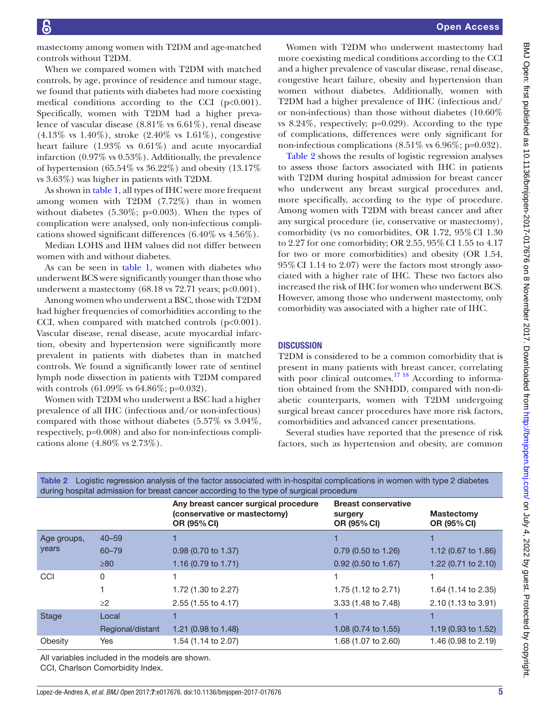mastectomy among women with T2DM and age-matched controls without T2DM.

When we compared women with T2DM with matched controls, by age, province of residence and tumour stage, we found that patients with diabetes had more coexisting medical conditions according to the CCI (p<0.001). Specifically, women with T2DM had a higher prevalence of vascular disease (8.81% vs 6.61%), renal disease  $(4.13\% \text{ vs } 1.40\%), \text{ stroke } (2.40\% \text{ vs } 1.61\%), \text{congestive}$ heart failure (1.93% vs 0.61%) and acute myocardial infarction (0.97% vs 0.53%). Additionally, the prevalence of hypertension (65.54% vs 36.22%) and obesity (13.17% vs 3.63%) was higher in patients with T2DM.

As shown in [table](#page-3-0) 1, all types of IHC were more frequent among women with T2DM (7.72%) than in women without diabetes  $(5.30\%; p=0.003)$ . When the types of complication were analysed, only non-infectious complications showed significant differences (6.40% vs 4.56%).

Median LOHS and IHM values did not differ between women with and without diabetes.

As can be seen in [table](#page-3-0) 1, women with diabetes who underwent BCS were significantly younger than those who underwent a mastectomy  $(68.18 \text{ vs } 72.71 \text{ years}; \text{ p} < 0.001).$ 

Among women who underwent a BSC, those with T2DM had higher frequencies of comorbidities according to the CCI, when compared with matched controls  $(p<0.001)$ . Vascular disease, renal disease, acute myocardial infarction, obesity and hypertension were significantly more prevalent in patients with diabetes than in matched controls. We found a significantly lower rate of sentinel lymph node dissection in patients with T2DM compared with controls (61.09% vs 64.86%; p=0.032).

Women with T2DM who underwent a BSC had a higher prevalence of all IHC (infectious and/or non-infectious) compared with those without diabetes (5.57% vs 3.04%, respectively, p=0.008) and also for non-infectious complications alone (4.80% vs 2.73%).

Women with T2DM who underwent mastectomy had more coexisting medical conditions according to the CCI and a higher prevalence of vascular disease, renal disease, congestive heart failure, obesity and hypertension than women without diabetes. Additionally, women with T2DM had a higher prevalence of IHC (infectious and/ or non-infectious) than those without diabetes (10.60% vs 8.24%, respectively; p=0.029). According to the type of complications, differences were only significant for non-infectious complications  $(8.51\% \text{ vs } 6.96\%; \text{p}=0.032)$ .

[Table](#page-4-0) 2 shows the results of logistic regression analyses to assess those factors associated with IHC in patients with T2DM during hospital admission for breast cancer who underwent any breast surgical procedures and, more specifically, according to the type of procedure. Among women with T2DM with breast cancer and after any surgical procedure (ie, conservative or mastectomy), comorbidity (vs no comorbidites, OR 1.72, 95%CI 1.30 to 2.27 for one comorbidity; OR 2.55, 95%CI 1.55 to 4.17 for two or more comorbidities) and obesity (OR 1.54, 95%CI 1.14 to 2.07) were the factors most strongly associated with a higher rate of IHC. These two factors also increased the risk of IHC for women who underwent BCS. However, among those who underwent mastectomy, only comorbidity was associated with a higher rate of IHC.

## **DISCUSSION**

T2DM is considered to be a common comorbidity that is present in many patients with breast cancer, correlating with poor clinical outcomes.<sup>17 18</sup> According to information obtained from the SNHDD, compared with non-diabetic counterparts, women with T2DM undergoing surgical breast cancer procedures have more risk factors, comorbidities and advanced cancer presentations.

Several studies have reported that the presence of risk factors, such as hypertension and obesity, are common

| during hospital admission for breast cancer according to the type of surgical procedure |                  |                                                                                     |                                                      |                                  |  |  |  |  |
|-----------------------------------------------------------------------------------------|------------------|-------------------------------------------------------------------------------------|------------------------------------------------------|----------------------------------|--|--|--|--|
|                                                                                         |                  | Any breast cancer surgical procedure<br>(conservative or mastectomy)<br>OR (95% CI) | <b>Breast conservative</b><br>surgery<br>OR (95% CI) | <b>Mastectomy</b><br>OR (95% CI) |  |  |  |  |
| Age groups,                                                                             | $40 - 59$        |                                                                                     |                                                      |                                  |  |  |  |  |
| years                                                                                   | 60-79            | $0.98$ (0.70 to 1.37)                                                               | $0.79$ (0.50 to 1.26)                                | 1.12 $(0.67 \text{ to } 1.86)$   |  |  |  |  |
|                                                                                         | $\geq 80$        | 1.16 (0.79 to 1.71)                                                                 | 0.92 (0.50 to 1.67)                                  | 1.22 (0.71 to 2.10)              |  |  |  |  |
| CCI                                                                                     | 0                |                                                                                     |                                                      |                                  |  |  |  |  |
|                                                                                         |                  | 1.72 (1.30 to 2.27)                                                                 | 1.75 (1.12 to 2.71)                                  | 1.64 (1.14 to 2.35)              |  |  |  |  |
|                                                                                         | $\geq$ 2         | 2.55 (1.55 to 4.17)                                                                 | 3.33 (1.48 to 7.48)                                  | 2.10 (1.13 to 3.91)              |  |  |  |  |
| Stage                                                                                   | Local            |                                                                                     |                                                      |                                  |  |  |  |  |
|                                                                                         | Regional/distant | 1.21 (0.98 to 1.48)                                                                 | 1.08 (0.74 to 1.55)                                  | 1.19 $(0.93 \text{ to } 1.52)$   |  |  |  |  |
| Obesity                                                                                 | Yes              | 1.54 (1.14 to 2.07)                                                                 | 1.68 (1.07 to 2.60)                                  | 1.46 (0.98 to 2.19)              |  |  |  |  |

<span id="page-4-0"></span>Table 2 Logistic regression analysis of the factor associated with in-hospital complications in women with type 2 diabetes

All variables included in the models are shown. CCI, Charlson Comorbidity Index.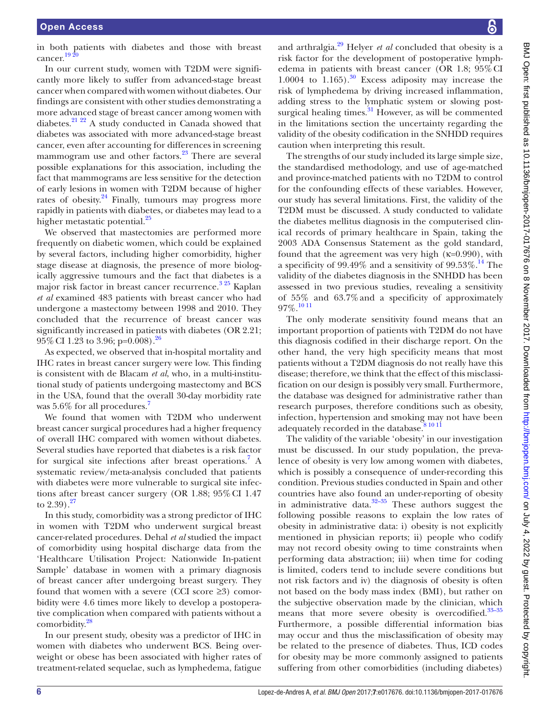in both patients with diabetes and those with breast cancer. $19<sup>2</sup>$ 

In our current study, women with T2DM were significantly more likely to suffer from advanced-stage breast cancer when compared with women without diabetes. Our findings are consistent with other studies demonstrating a more advanced stage of breast cancer among women with diabetes.[21 22](#page-7-4) A study conducted in Canada showed that diabetes was associated with more advanced-stage breast cancer, even after accounting for differences in screening mammogram use and other factors.<sup>[23](#page-7-5)</sup> There are several possible explanations for this association, including the fact that mammograms are less sensitive for the detection of early lesions in women with T2DM because of higher rates of obesity. $24$  Finally, tumours may progress more rapidly in patients with diabetes, or diabetes may lead to a higher metastatic potential.<sup>25</sup>

We observed that mastectomies are performed more frequently on diabetic women, which could be explained by several factors, including higher comorbidity, higher stage disease at diagnosis, the presence of more biologically aggressive tumours and the fact that diabetes is a major risk factor in breast cancer recurrence.<sup>[3 25](#page-6-2)</sup> Kaplan *et al* examined 483 patients with breast cancer who had undergone a mastectomy between 1998 and 2010. They concluded that the recurrence of breast cancer was significantly increased in patients with diabetes (OR 2.21; 95% CI 1.23 to 3.96; p=0.008).<sup>26</sup>

As expected, we observed that in-hospital mortality and IHC rates in breast cancer surgery were low. This finding is consistent with de Blacam *et al*, who, in a multi-institutional study of patients undergoing mastectomy and BCS in the USA, found that the overall 30-day morbidity rate was 5.6% for all procedures.<sup>[7](#page-6-5)</sup>

We found that women with T2DM who underwent breast cancer surgical procedures had a higher frequency of overall IHC compared with women without diabetes. Several studies have reported that diabetes is a risk factor for surgical site infections after breast operations.<sup>[7](#page-6-5)</sup> A systematic review/meta-analysis concluded that patients with diabetes were more vulnerable to surgical site infections after breast cancer surgery (OR 1.88; 95%CI 1.47 to  $2.39$ ).<sup>[27](#page-7-9)</sup>

In this study, comorbidity was a strong predictor of IHC in women with T2DM who underwent surgical breast cancer-related procedures. Dehal *et al* studied the impact of comorbidity using hospital discharge data from the 'Healthcare Utilisation Project: Nationwide In-patient Sample' database in women with a primary diagnosis of breast cancer after undergoing breast surgery. They found that women with a severe (CCI score  $\geq 3$ ) comorbidity were 4.6 times more likely to develop a postoperative complication when compared with patients without a comorbidity.<sup>28</sup>

In our present study, obesity was a predictor of IHC in women with diabetes who underwent BCS. Being overweight or obese has been associated with higher rates of treatment-related sequelae, such as lymphedema, fatigue

and arthralgia[.29](#page-7-11) Helyer *et al* concluded that obesity is a risk factor for the development of postoperative lymphedema in patients with breast cancer (OR 1.8; 95%CI 1.0004 to  $1.165$ ).<sup>30</sup> Excess adiposity may increase the risk of lymphedema by driving increased inflammation, adding stress to the lymphatic system or slowing postsurgical healing times. $31$  However, as will be commented in the limitations section the uncertainty regarding the validity of the obesity codification in the SNHDD requires caution when interpreting this result.

The strengths of our study included its large simple size, the standardised methodology, and use of age-matched and province-matched patients with no T2DM to control for the confounding effects of these variables. However, our study has several limitations. First, the validity of the T2DM must be discussed. A study conducted to validate the diabetes mellitus diagnosis in the computerised clinical records of primary healthcare in Spain, taking the 2003 ADA Consensus Statement as the gold standard, found that the agreement was very high  $(\kappa=0.990)$ , with a specificity of 99.49% and a sensitivity of 99.53%.<sup>[14](#page-6-8)</sup> The validity of the diabetes diagnosis in the SNHDD has been assessed in two previous studies, revealing a sensitivity of 55% and 63.7%and a specificity of approximately  $97\%$ <sup>[10 11](#page-6-7)</sup>

The only moderate sensitivity found means that an important proportion of patients with T2DM do not have this diagnosis codified in their discharge report. On the other hand, the very high specificity means that most patients without a T2DM diagnosis do not really have this disease; therefore, we think that the effect of this misclassification on our design is possibly very small. Furthermore, the database was designed for administrative rather than research purposes, therefore conditions such as obesity, infection, hypertension and smoking may not have been adequately recorded in the database.<sup>8 10 11</sup>

The validity of the variable 'obesity' in our investigation must be discussed. In our study population, the prevalence of obesity is very low among women with diabetes, which is possibly a consequence of under-recording this condition. Previous studies conducted in Spain and other countries have also found an under-reporting of obesity in administrative data. $32-35$  These authors suggest the following possible reasons to explain the low rates of obesity in administrative data: i) obesity is not explicitly mentioned in physician reports; ii) people who codify may not record obesity owing to time constraints when performing data abstraction; iii) when time for coding is limited, coders tend to include severe conditions but not risk factors and iv) the diagnosis of obesity is often not based on the body mass index (BMI), but rather on the subjective observation made by the clinician, which means that more severe obesity is overcodified.<sup>33-35</sup> Furthermore, a possible differential information bias may occur and thus the misclassification of obesity may be related to the presence of diabetes. Thus, ICD codes for obesity may be more commonly assigned to patients suffering from other comorbidities (including diabetes)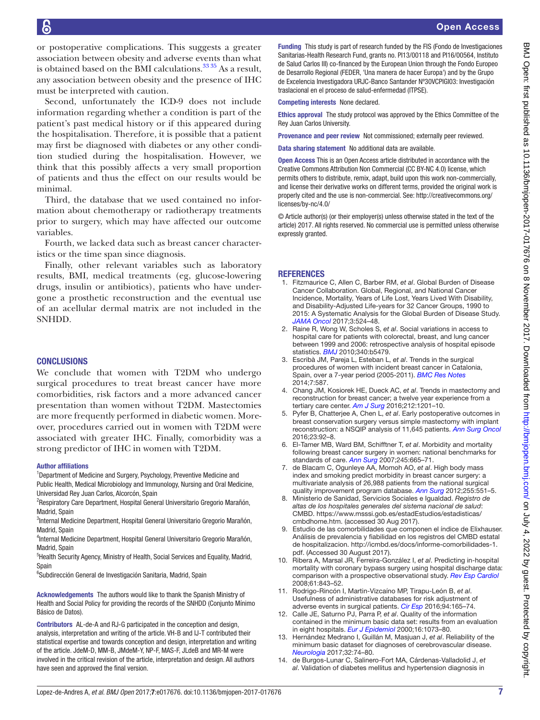or postoperative complications. This suggests a greater association between obesity and adverse events than what is obtained based on the BMI calculations. $3335$  As a result, any association between obesity and the presence of IHC must be interpreted with caution.

Second, unfortunately the ICD-9 does not include information regarding whether a condition is part of the patient's past medical history or if this appeared during the hospitalisation. Therefore, it is possible that a patient may first be diagnosed with diabetes or any other condition studied during the hospitalisation. However, we think that this possibly affects a very small proportion of patients and thus the effect on our results would be minimal.

Third, the database that we used contained no information about chemotherapy or radiotherapy treatments prior to surgery, which may have affected our outcome variables.

Fourth, we lacked data such as breast cancer characteristics or the time span since diagnosis.

Finally, other relevant variables such as laboratory results, BMI, medical treatments (eg, glucose-lowering drugs, insulin or antibiotics), patients who have undergone a prosthetic reconstruction and the eventual use of an acellular dermal matrix are not included in the SNHDD.

## **CONCLUSIONS**

We conclude that women with T2DM who undergo surgical procedures to treat breast cancer have more comorbidities, risk factors and a more advanced cancer presentation than women without T2DM. Mastectomies are more frequently performed in diabetic women. Moreover, procedures carried out in women with T2DM were associated with greater IHC. Finally, comorbidity was a strong predictor of IHC in women with T2DM.

#### Author affiliations

<sup>1</sup>Department of Medicine and Surgery, Psychology, Preventive Medicine and Public Health, Medical Microbiology and Immunology, Nursing and Oral Medicine,

Universidad Rey Juan Carlos, Alcorcón, Spain <sup>2</sup>Respiratory Care Department, Hospital General Universitario Gregorio Marañón, Madrid, Spain

<sup>3</sup>Internal Medicine Department, Hospital General Universitario Gregorio Marañón, Madrid, Spain

4 Internal Medicine Department, Hospital General Universitario Gregorio Marañón, Madrid, Spain

<sup>5</sup>Health Security Agency, Ministry of Health, Social Services and Equality, Madrid, Spain

6 Subdirección General de Investigación Sanitaria, Madrid, Spain

Acknowledgements The authors would like to thank the Spanish Ministry of Health and Social Policy for providing the records of the SNHDD (Conjunto Mínimo Básico de Datos).

Contributors AL-de-A and RJ-G participated in the conception and design, analysis, interpretation and writing of the article. VH-B and IJ-T contributed their statistical expertise and towards conception and design, interpretation and writing of the article. JdeM-D, MM-B, JMdeM-Y, NP-F, MAS-F, JLdeB and MR-M were involved in the critical revision of the article, interpretation and design. All authors have seen and approved the final version.

Funding This study is part of research funded by the FIS (Fondo de Investigaciones Sanitarias-Health Research Fund, grants no. PI13/00118 and PI16/00564, Instituto de Salud Carlos III) co-financed by the European Union through the Fondo Europeo de Desarrollo Regional (FEDER, 'Una manera de hacer Europa') and by the Grupo de Excelencia Investigadora URJC-Banco Santander Nº30VCPIGI03: Investigación traslacional en el proceso de salud-enfermedad (ITPSE).

Competing interests None declared.

Ethics approval The study protocol was approved by the Ethics Committee of the Rey Juan Carlos University.

Provenance and peer review Not commissioned; externally peer reviewed.

Data sharing statement No additional data are available.

Open Access This is an Open Access article distributed in accordance with the Creative Commons Attribution Non Commercial (CC BY-NC 4.0) license, which permits others to distribute, remix, adapt, build upon this work non-commercially, and license their derivative works on different terms, provided the original work is properly cited and the use is non-commercial. See: [http://creativecommons.org/](http://creativecommons.org/licenses/by-nc/4.0/) [licenses/by-nc/4.0/](http://creativecommons.org/licenses/by-nc/4.0/)

© Article author(s) (or their employer(s) unless otherwise stated in the text of the article) 2017. All rights reserved. No commercial use is permitted unless otherwise expressly granted.

#### **REFERENCES**

- <span id="page-6-0"></span>1. Fitzmaurice C, Allen C, Barber RM, *et al*. Global Burden of Disease Cancer Collaboration. Global, Regional, and National Cancer Incidence, Mortality, Years of Life Lost, Years Lived With Disability, and Disability-Adjusted Life-years for 32 Cancer Groups, 1990 to 2015: A Systematic Analysis for the Global Burden of Disease Study. *[JAMA Oncol](http://dx.doi.org/10.1001/jamaoncol.2016.5688)* 2017;3:524–48.
- <span id="page-6-1"></span>2. Raine R, Wong W, Scholes S, *et al*. Social variations in access to hospital care for patients with colorectal, breast, and lung cancer between 1999 and 2006: retrospective analysis of hospital episode statistics. *[BMJ](http://dx.doi.org/10.1136/bmj.b5479)* 2010;340:b5479.
- <span id="page-6-2"></span>3. Escribà JM, Pareja L, Esteban L, *et al*. Trends in the surgical procedures of women with incident breast cancer in Catalonia, Spain, over a 7-year period (2005-2011). *[BMC Res Notes](http://dx.doi.org/10.1186/1756-0500-7-587)* 2014;7:587.
- <span id="page-6-3"></span>4. Chang JM, Kosiorek HE, Dueck AC, *et al*. Trends in mastectomy and reconstruction for breast cancer; a twelve year experience from a tertiary care center. *[Am J Surg](http://dx.doi.org/10.1016/j.amjsurg.2016.08.020)* 2016;212:1201–10.
- <span id="page-6-4"></span>5. Pyfer B, Chatterjee A, Chen L, *et al*. Early postoperative outcomes in breast conservation surgery versus simple mastectomy with implant reconstruction: a NSQIP analysis of 11,645 patients. *[Ann Surg Oncol](http://dx.doi.org/10.1245/s10434-015-4770-2)* 2016;23:92–8.
- 6. El-Tamer MB, Ward BM, Schifftner T, *et al*. Morbidity and mortality following breast cancer surgery in women: national benchmarks for standards of care. *[Ann Surg](http://dx.doi.org/10.1097/01.sla.0000245833.48399.9a)* 2007;245:665–71.
- <span id="page-6-5"></span>7. de Blacam C, Ogunleye AA, Momoh AO, *et al*. High body mass index and smoking predict morbidity in breast cancer surgery: a multivariate analysis of 26,988 patients from the national surgical quality improvement program database. *[Ann Surg](http://dx.doi.org/10.1097/SLA.0b013e318246c294)* 2012;255:551–5.
- <span id="page-6-6"></span>8. Ministerio de Sanidad, Servicios Sociales e Igualdad. *Registro de altas de los hospitales generales del sistema nacional de salud*: CMBD. [https://www.msssi.gob.es/estadEstudios/estadisticas/](https://www.msssi.gob.es/estadEstudios/estadisticas/cmbdhome.htm) [cmbdhome.htm](https://www.msssi.gob.es/estadEstudios/estadisticas/cmbdhome.htm). (accessed 30 Aug 2017).
- 9. Estudio de las comorbilidades que componen el índice de Elixhauser. Análisis de prevalencia y fiabilidad en los registros del CMBD estatal de hospitalizacion. [http://icmbd.es/docs/informe-comorbilidades-1.](http://icmbd.es/docs/informe-comorbilidades-1.pdf) [pdf.](http://icmbd.es/docs/informe-comorbilidades-1.pdf) (Accessed 30 August 2017).
- <span id="page-6-7"></span>10. Ribera A, Marsal JR, Ferreira-González I, *et al*. Predicting in-hospital mortality with coronary bypass surgery using hospital discharge data: comparison with a prospective observational study. *Rev Esp Cardiol* 2008;61:843–52.
- 11. Rodrigo-Rincón I, Martin-Vizcaíno MP, Tirapu-León B, *et al*. Usefulness of administrative databases for risk adjustment of adverse events in surgical patients. *[Cir Esp](http://dx.doi.org/10.1016/j.cireng.2016.02.012)* 2016;94:165–74.
- 12. Calle JE, Saturno PJ, Parra P, *et al*. Quality of the information contained in the minimum basic data set: results from an evaluation in eight hospitals. *[Eur J Epidemiol](http://dx.doi.org/10.1023/A:1010931111115)* 2000;16:1073–80.
- 13. Hernández Medrano I, Guillán M, Masjuan J, *et al*. Reliability of the minimum basic dataset for diagnoses of cerebrovascular disease. *[Neurologia](http://dx.doi.org/10.1016/j.nrl.2014.12.007)* 2017;32:74–80.
- <span id="page-6-8"></span>14. de Burgos-Lunar C, Salinero-Fort MA, Cárdenas-Valladolid J, *et al*. Validation of diabetes mellitus and hypertension diagnosis in